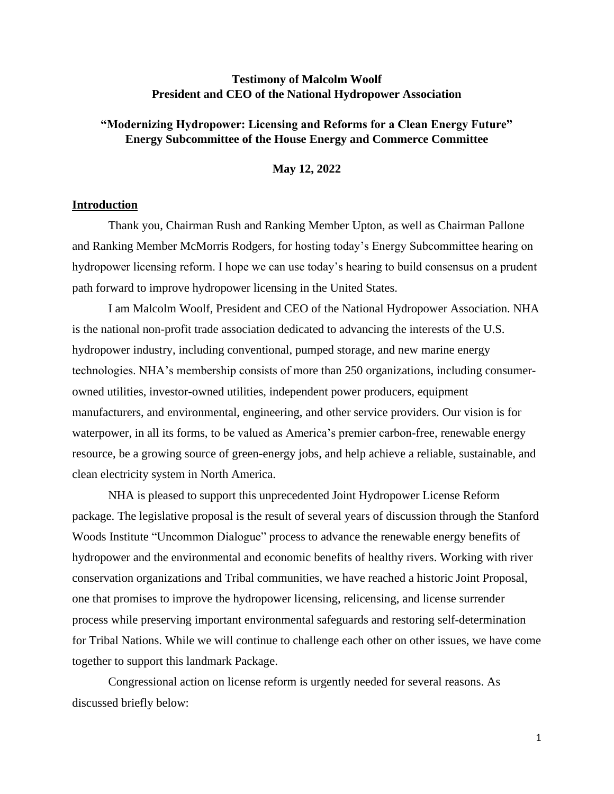## **Testimony of Malcolm Woolf President and CEO of the National Hydropower Association**

## **"Modernizing Hydropower: Licensing and Reforms for a Clean Energy Future" Energy Subcommittee of the House Energy and Commerce Committee**

**May 12, 2022**

#### **Introduction**

Thank you, Chairman Rush and Ranking Member Upton, as well as Chairman Pallone and Ranking Member McMorris Rodgers, for hosting today's Energy Subcommittee hearing on hydropower licensing reform. I hope we can use today's hearing to build consensus on a prudent path forward to improve hydropower licensing in the United States.

I am Malcolm Woolf, President and CEO of the National Hydropower Association. NHA is the national non-profit trade association dedicated to advancing the interests of the U.S. hydropower industry, including conventional, pumped storage, and new marine energy technologies. NHA's membership consists of more than 250 organizations, including consumerowned utilities, investor-owned utilities, independent power producers, equipment manufacturers, and environmental, engineering, and other service providers. Our vision is for waterpower, in all its forms, to be valued as America's premier carbon-free, renewable energy resource, be a growing source of green-energy jobs, and help achieve a reliable, sustainable, and clean electricity system in North America.

NHA is pleased to support this unprecedented Joint Hydropower License Reform package. The legislative proposal is the result of several years of discussion through the Stanford Woods Institute "Uncommon Dialogue" process to advance the renewable energy benefits of hydropower and the environmental and economic benefits of healthy rivers. Working with river conservation organizations and Tribal communities, we have reached a historic Joint Proposal, one that promises to improve the hydropower licensing, relicensing, and license surrender process while preserving important environmental safeguards and restoring self-determination for Tribal Nations. While we will continue to challenge each other on other issues, we have come together to support this landmark Package.

Congressional action on license reform is urgently needed for several reasons. As discussed briefly below: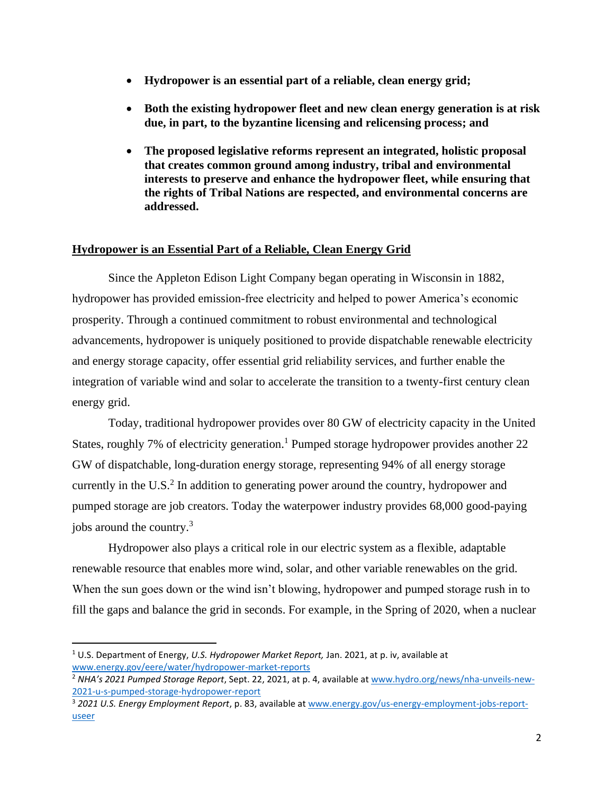- **Hydropower is an essential part of a reliable, clean energy grid;**
- **Both the existing hydropower fleet and new clean energy generation is at risk due, in part, to the byzantine licensing and relicensing process; and**
- **The proposed legislative reforms represent an integrated, holistic proposal that creates common ground among industry, tribal and environmental interests to preserve and enhance the hydropower fleet, while ensuring that the rights of Tribal Nations are respected, and environmental concerns are addressed.**

## **Hydropower is an Essential Part of a Reliable, Clean Energy Grid**

Since the Appleton Edison Light Company began operating in Wisconsin in 1882, hydropower has provided emission-free electricity and helped to power America's economic prosperity. Through a continued commitment to robust environmental and technological advancements, hydropower is uniquely positioned to provide dispatchable renewable electricity and energy storage capacity, offer essential grid reliability services, and further enable the integration of variable wind and solar to accelerate the transition to a twenty-first century clean energy grid.

Today, traditional hydropower provides over 80 GW of electricity capacity in the United States, roughly 7% of electricity generation.<sup>1</sup> Pumped storage hydropower provides another 22 GW of dispatchable, long-duration energy storage, representing 94% of all energy storage currently in the U.S. $<sup>2</sup>$  In addition to generating power around the country, hydropower and</sup> pumped storage are job creators. Today the waterpower industry provides 68,000 good-paying jobs around the country.<sup>3</sup>

Hydropower also plays a critical role in our electric system as a flexible, adaptable renewable resource that enables more wind, solar, and other variable renewables on the grid. When the sun goes down or the wind isn't blowing, hydropower and pumped storage rush in to fill the gaps and balance the grid in seconds. For example, in the Spring of 2020, when a nuclear

<sup>1</sup> U.S. Department of Energy, *U.S. Hydropower Market Report,* Jan. 2021, at p. iv, available at [www.energy.gov/eere/water/hydropower-market-reports](http://www.energy.gov/eere/water/hydropower-market-reports)

<sup>2</sup> *NHA's 2021 Pumped Storage Report*, Sept. 22, 2021, at p. 4, available at [www.hydro.org/news/nha-unveils-new-](http://www.hydro.org/news/nha-unveils-new-2021-u-s-pumped-storage-hydropower-report)[2021-u-s-pumped-storage-hydropower-report](http://www.hydro.org/news/nha-unveils-new-2021-u-s-pumped-storage-hydropower-report)

<sup>3</sup> *2021 U.S. Energy Employment Report*, p. 83, available a[t www.energy.gov/us-energy-employment-jobs-report](http://www.energy.gov/us-energy-employment-jobs-report-useer)[useer](http://www.energy.gov/us-energy-employment-jobs-report-useer)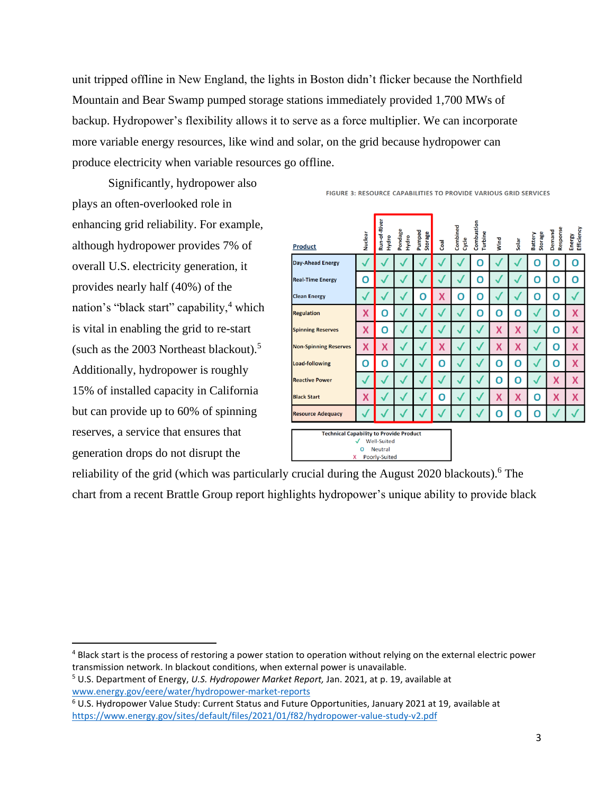unit tripped offline in New England, the lights in Boston didn't flicker because the Northfield Mountain and Bear Swamp pumped storage stations immediately provided 1,700 MWs of backup. Hydropower's flexibility allows it to serve as a force multiplier. We can incorporate more variable energy resources, like wind and solar, on the grid because hydropower can produce electricity when variable resources go offline.

Significantly, hydropower also plays an often-overlooked role in enhancing grid reliability. For example, although hydropower provides 7% of overall U.S. electricity generation, it provides nearly half (40%) of the nation's "black start" capability, $4$  which is vital in enabling the grid to re-start (such as the 2003 Northeast blackout).<sup>5</sup> Additionally, hydropower is roughly 15% of installed capacity in California but can provide up to 60% of spinning reserves, a service that ensures that generation drops do not disrupt the

| <b>Product</b>                                                                                                           | Nuclear | Run-of-River<br>Hydro | Pondage<br>Hydro | Pumped<br>Storage | Coal | Combined<br>Cycle | Combustion<br>Turbine | Wind | Solar | Storage<br>Battery | Response<br>Demand | Efficiency<br>Energy |
|--------------------------------------------------------------------------------------------------------------------------|---------|-----------------------|------------------|-------------------|------|-------------------|-----------------------|------|-------|--------------------|--------------------|----------------------|
| <b>Day-Ahead Energy</b>                                                                                                  |         |                       |                  |                   |      |                   | п                     |      |       | n                  | 0                  | O                    |
| <b>Real-Time Energy</b>                                                                                                  | O       |                       |                  |                   |      |                   | O                     |      |       | O                  | 0                  | О                    |
| <b>Clean Energy</b>                                                                                                      |         |                       |                  | 0                 | X    | 0                 | O                     |      |       | 0                  | 0                  |                      |
| <b>Regulation</b>                                                                                                        | X       | Ο                     |                  |                   |      |                   | O                     | 0    | O     |                    | 0                  | X                    |
| <b>Spinning Reserves</b>                                                                                                 | X       | O                     |                  |                   |      |                   |                       | X    | Χ     |                    | 0                  | X                    |
| <b>Non-Spinning Reserves</b>                                                                                             | X       | X                     |                  |                   | X    |                   |                       | X    | X     |                    | 0                  | X                    |
| <b>Load-following</b>                                                                                                    | O       | O                     |                  |                   | O    |                   |                       | O    | O     |                    | 0                  | X                    |
| <b>Reactive Power</b>                                                                                                    |         |                       |                  |                   |      |                   |                       | O    | O     |                    | X                  | X                    |
| <b>Black Start</b>                                                                                                       | X       |                       |                  |                   | O    |                   |                       | X    | X     | O                  | X                  | X                    |
| <b>Resource Adequacy</b>                                                                                                 |         |                       |                  |                   |      |                   |                       | n    | 0     | O                  |                    |                      |
| <b>Technical Capability to Provide Product</b><br><b>Well-Suited</b><br><b>Neutral</b><br>O<br>Poorly-Suited<br><b>X</b> |         |                       |                  |                   |      |                   |                       |      |       |                    |                    |                      |

FIGURE 3: RESOURCE CAPABILITIES TO PROVIDE VARIOUS GRID SERVICES

reliability of the grid (which was particularly crucial during the August 2020 blackouts).<sup>6</sup> The chart from a recent Brattle Group report highlights hydropower's unique ability to provide black

<sup>4</sup> Black start is the process of restoring a power station to operation without relying on the external electric power transmission network. In blackout conditions, when external power is unavailable.

<sup>5</sup> U.S. Department of Energy, *U.S. Hydropower Market Report,* Jan. 2021, at p. 19, available at [www.energy.gov/eere/water/hydropower-market-reports](http://www.energy.gov/eere/water/hydropower-market-reports)

<sup>6</sup> U.S. Hydropower Value Study: Current Status and Future Opportunities, January 2021 at 19, available at <https://www.energy.gov/sites/default/files/2021/01/f82/hydropower-value-study-v2.pdf>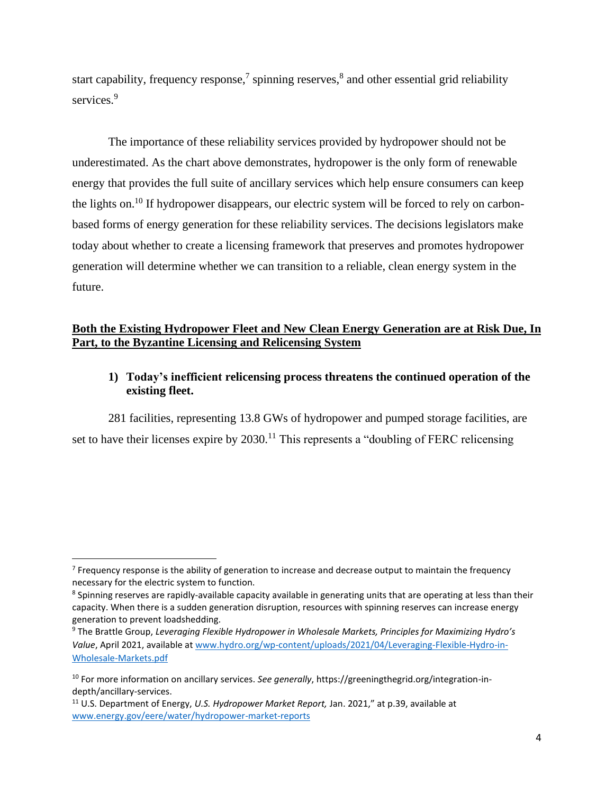start capability, frequency response,<sup>7</sup> spinning reserves,<sup>8</sup> and other essential grid reliability services.<sup>9</sup>

The importance of these reliability services provided by hydropower should not be underestimated. As the chart above demonstrates, hydropower is the only form of renewable energy that provides the full suite of ancillary services which help ensure consumers can keep the lights on.<sup>10</sup> If hydropower disappears, our electric system will be forced to rely on carbonbased forms of energy generation for these reliability services. The decisions legislators make today about whether to create a licensing framework that preserves and promotes hydropower generation will determine whether we can transition to a reliable, clean energy system in the future.

## **Both the Existing Hydropower Fleet and New Clean Energy Generation are at Risk Due, In Part, to the Byzantine Licensing and Relicensing System**

**1) Today's inefficient relicensing process threatens the continued operation of the existing fleet.**

281 facilities, representing 13.8 GWs of hydropower and pumped storage facilities, are set to have their licenses expire by  $2030$ .<sup>11</sup> This represents a "doubling of FERC relicensing

<sup>&</sup>lt;sup>7</sup> Frequency response is the ability of generation to increase and decrease output to maintain the frequency necessary for the electric system to function.

<sup>&</sup>lt;sup>8</sup> Spinning reserves are rapidly-available capacity available in generating units that are operating at less than their capacity. When there is a sudden generation disruption, resources with spinning reserves can increase energy generation to prevent loadshedding.

<sup>9</sup> The Brattle Group, *Leveraging Flexible Hydropower in Wholesale Markets, Principles for Maximizing Hydro's Value*, April 2021, available at [www.hydro.org/wp-content/uploads/2021/04/Leveraging-Flexible-Hydro-in-](https://www.hydro.org/wp-content/uploads/2021/04/Leveraging-Flexible-Hydro-in-Wholesale-Markets.pdf)[Wholesale-Markets.pdf](https://www.hydro.org/wp-content/uploads/2021/04/Leveraging-Flexible-Hydro-in-Wholesale-Markets.pdf)

<sup>10</sup> For more information on ancillary services. *See generally*, https://greeningthegrid.org/integration-indepth/ancillary-services.

<sup>11</sup> U.S. Department of Energy, *U.S. Hydropower Market Report,* Jan. 2021," at p.39, available at [www.energy.gov/eere/water/hydropower-market-reports](http://www.energy.gov/eere/water/hydropower-market-reports)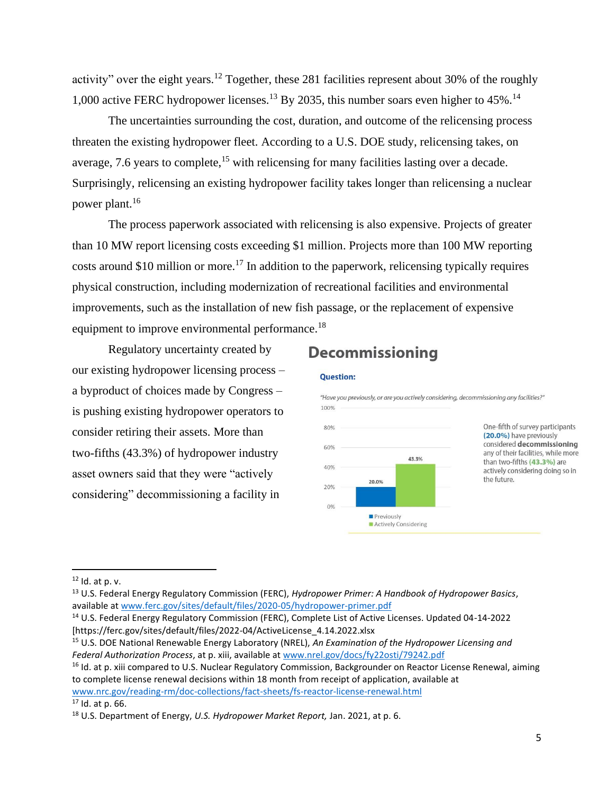activity" over the eight years.<sup>12</sup> Together, these 281 facilities represent about 30% of the roughly 1,000 active FERC hydropower licenses.<sup>13</sup> By 2035, this number soars even higher to 45%.<sup>14</sup>

The uncertainties surrounding the cost, duration, and outcome of the relicensing process threaten the existing hydropower fleet. According to a U.S. DOE study, relicensing takes, on average, 7.6 years to complete,  $^{15}$  with relicensing for many facilities lasting over a decade. Surprisingly, relicensing an existing hydropower facility takes longer than relicensing a nuclear power plant.<sup>16</sup>

The process paperwork associated with relicensing is also expensive. Projects of greater than 10 MW report licensing costs exceeding \$1 million. Projects more than 100 MW reporting costs around \$10 million or more.<sup>17</sup> In addition to the paperwork, relicensing typically requires physical construction, including modernization of recreational facilities and environmental improvements, such as the installation of new fish passage, or the replacement of expensive equipment to improve environmental performance.<sup>18</sup>

Regulatory uncertainty created by our existing hydropower licensing process – a byproduct of choices made by Congress – is pushing existing hydropower operators to consider retiring their assets. More than two-fifths (43.3%) of hydropower industry asset owners said that they were "actively considering" decommissioning a facility in

# **Decommissioning**



"Have you previously, or are you actively considering, decommissioning any facilities?" 100% One-fifth of survey participants 80% (20.0%) have previously considered decommissioning 60% any of their facilities, while more 43.3% than two-fifths (43.3%) are 40% actively considering doing so in the future. 20.0% 20%  $0%$ Previously Actively Considering

<sup>12</sup> Id. at p. v.

<sup>13</sup> U.S. Federal Energy Regulatory Commission (FERC), *Hydropower Primer: A Handbook of Hydropower Basics*, available a[t www.ferc.gov/sites/default/files/2020-05/hydropower-primer.pdf](http://www.ferc.gov/sites/default/files/2020-05/hydropower-primer.pdf)

<sup>14</sup> U.S. Federal Energy Regulatory Commission (FERC), Complete List of Active Licenses. Updated 04-14-2022 [https://ferc.gov/sites/default/files/2022-04/ActiveLicense\_4.14.2022.xlsx

<sup>15</sup> U.S. DOE National Renewable Energy Laboratory (NREL), *An Examination of the Hydropower Licensing and Federal Authorization Process*, at p. xiii, available at [www.nrel.gov/docs/fy22osti/79242.pdf](http://www.nrel.gov/docs/fy22osti/79242.pdf)

<sup>&</sup>lt;sup>16</sup> Id. at p. xiii compared to U.S. Nuclear Regulatory Commission, Backgrounder on Reactor License Renewal, aiming to complete license renewal decisions within 18 month from receipt of application, available at [www.nrc.gov/reading-rm/doc-collections/fact-sheets/fs-reactor-license-renewal.html](http://www.nrc.gov/reading-rm/doc-collections/fact-sheets/fs-reactor-license-renewal.html)

 $17$  Id. at p. 66.

<sup>18</sup> U.S. Department of Energy, *U.S. Hydropower Market Report,* Jan. 2021, at p. 6.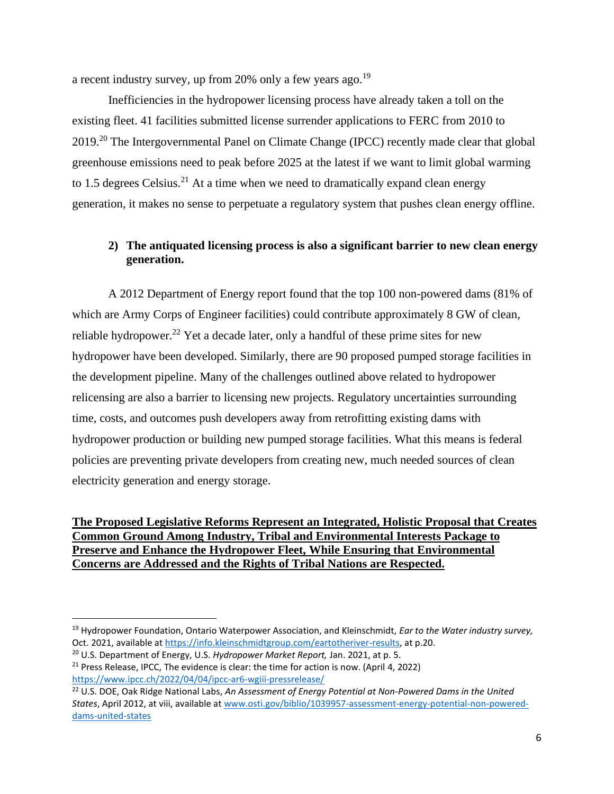a recent industry survey, up from 20% only a few years ago.<sup>19</sup>

Inefficiencies in the hydropower licensing process have already taken a toll on the existing fleet. 41 facilities submitted license surrender applications to FERC from 2010 to 2019.<sup>20</sup> The Intergovernmental Panel on Climate Change (IPCC) recently made clear that global greenhouse emissions need to peak before 2025 at the latest if we want to limit global warming to 1.5 degrees Celsius.<sup>21</sup> At a time when we need to dramatically expand clean energy generation, it makes no sense to perpetuate a regulatory system that pushes clean energy offline.

# **2) The antiquated licensing process is also a significant barrier to new clean energy generation.**

A 2012 Department of Energy report found that the top 100 non-powered dams (81% of which are Army Corps of Engineer facilities) could contribute approximately 8 GW of clean, reliable hydropower.<sup>22</sup> Yet a decade later, only a handful of these prime sites for new hydropower have been developed. Similarly, there are 90 proposed pumped storage facilities in the development pipeline. Many of the challenges outlined above related to hydropower relicensing are also a barrier to licensing new projects. Regulatory uncertainties surrounding time, costs, and outcomes push developers away from retrofitting existing dams with hydropower production or building new pumped storage facilities. What this means is federal policies are preventing private developers from creating new, much needed sources of clean electricity generation and energy storage.

## **The Proposed Legislative Reforms Represent an Integrated, Holistic Proposal that Creates Common Ground Among Industry, Tribal and Environmental Interests Package to Preserve and Enhance the Hydropower Fleet, While Ensuring that Environmental Concerns are Addressed and the Rights of Tribal Nations are Respected.**

<sup>19</sup> Hydropower Foundation, Ontario Waterpower Association, and Kleinschmidt, *Ear to the Water industry survey,*  Oct. 2021, available a[t https://info.kleinschmidtgroup.com/eartotheriver-results,](https://info.kleinschmidtgroup.com/eartotheriver-results) at p.20.

<sup>20</sup> U.S. Department of Energy, U.S. *Hydropower Market Report,* Jan. 2021, at p. 5.

 $21$  Press Release, IPCC, The evidence is clear: the time for action is now. (April 4, 2022) <https://www.ipcc.ch/2022/04/04/ipcc-ar6-wgiii-pressrelease/>

<sup>22</sup> U.S. DOE, Oak Ridge National Labs, *An Assessment of Energy Potential at Non-Powered Dams in the United States*, April 2012, at viii, available a[t www.osti.gov/biblio/1039957-assessment-energy-potential-non-powered](http://www.osti.gov/biblio/1039957-assessment-energy-potential-non-powered-dams-united-states)[dams-united-states](http://www.osti.gov/biblio/1039957-assessment-energy-potential-non-powered-dams-united-states)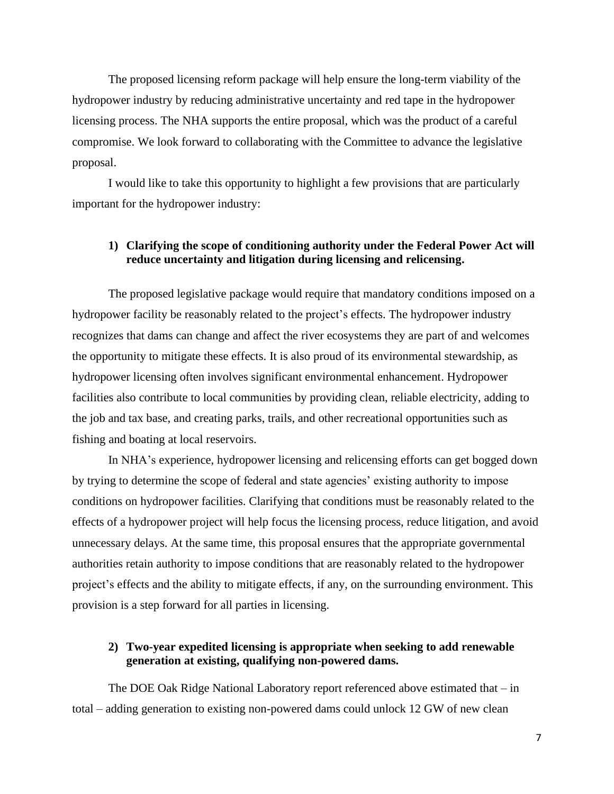The proposed licensing reform package will help ensure the long-term viability of the hydropower industry by reducing administrative uncertainty and red tape in the hydropower licensing process. The NHA supports the entire proposal, which was the product of a careful compromise. We look forward to collaborating with the Committee to advance the legislative proposal.

I would like to take this opportunity to highlight a few provisions that are particularly important for the hydropower industry:

#### **1) Clarifying the scope of conditioning authority under the Federal Power Act will reduce uncertainty and litigation during licensing and relicensing.**

The proposed legislative package would require that mandatory conditions imposed on a hydropower facility be reasonably related to the project's effects. The hydropower industry recognizes that dams can change and affect the river ecosystems they are part of and welcomes the opportunity to mitigate these effects. It is also proud of its environmental stewardship, as hydropower licensing often involves significant environmental enhancement. Hydropower facilities also contribute to local communities by providing clean, reliable electricity, adding to the job and tax base, and creating parks, trails, and other recreational opportunities such as fishing and boating at local reservoirs.

In NHA's experience, hydropower licensing and relicensing efforts can get bogged down by trying to determine the scope of federal and state agencies' existing authority to impose conditions on hydropower facilities. Clarifying that conditions must be reasonably related to the effects of a hydropower project will help focus the licensing process, reduce litigation, and avoid unnecessary delays. At the same time, this proposal ensures that the appropriate governmental authorities retain authority to impose conditions that are reasonably related to the hydropower project's effects and the ability to mitigate effects, if any, on the surrounding environment. This provision is a step forward for all parties in licensing.

#### **2) Two-year expedited licensing is appropriate when seeking to add renewable generation at existing, qualifying non-powered dams.**

The DOE Oak Ridge National Laboratory report referenced above estimated that – in total – adding generation to existing non-powered dams could unlock 12 GW of new clean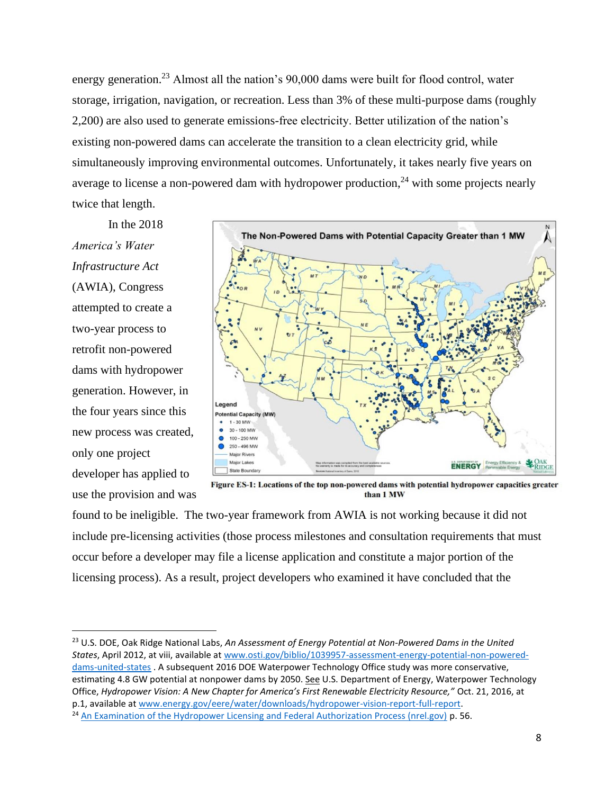energy generation.<sup>23</sup> Almost all the nation's 90,000 dams were built for flood control, water storage, irrigation, navigation, or recreation. Less than 3% of these multi-purpose dams (roughly 2,200) are also used to generate emissions-free electricity. Better utilization of the nation's existing non-powered dams can accelerate the transition to a clean electricity grid, while simultaneously improving environmental outcomes. Unfortunately, it takes nearly five years on average to license a non-powered dam with hydropower production,  $24$  with some projects nearly twice that length.

In the 2018 *America's Water Infrastructure Act*  (AWIA), Congress attempted to create a two-year process to retrofit non-powered dams with hydropower generation. However, in the four years since this new process was created, only one project developer has applied to use the provision and was



Figure ES-1: Locations of the top non-powered dams with potential hydropower capacities greater than 1 MW

found to be ineligible. The two-year framework from AWIA is not working because it did not include pre-licensing activities (those process milestones and consultation requirements that must occur before a developer may file a license application and constitute a major portion of the licensing process). As a result, project developers who examined it have concluded that the

<sup>23</sup> U.S. DOE, Oak Ridge National Labs, *An Assessment of Energy Potential at Non-Powered Dams in the United States*, April 2012, at viii, available a[t www.osti.gov/biblio/1039957-assessment-energy-potential-non-powered](http://www.osti.gov/biblio/1039957-assessment-energy-potential-non-powered-dams-united-states)[dams-united-states](http://www.osti.gov/biblio/1039957-assessment-energy-potential-non-powered-dams-united-states) . A subsequent 2016 DOE Waterpower Technology Office study was more conservative, estimating 4.8 GW potential at nonpower dams by 2050. See U.S. Department of Energy, Waterpower Technology Office, *Hydropower Vision: A New Chapter for America's First Renewable Electricity Resource,"* Oct. 21, 2016, at p.1, available a[t www.energy.gov/eere/water/downloads/hydropower-vision-report-full-report.](http://www.energy.gov/eere/water/downloads/hydropower-vision-report-full-report)

<sup>&</sup>lt;sup>24</sup> [An Examination of the Hydropower Licensing and Federal Authorization Process \(nrel.gov\)](https://www.nrel.gov/docs/fy22osti/79242.pdf) p. 56.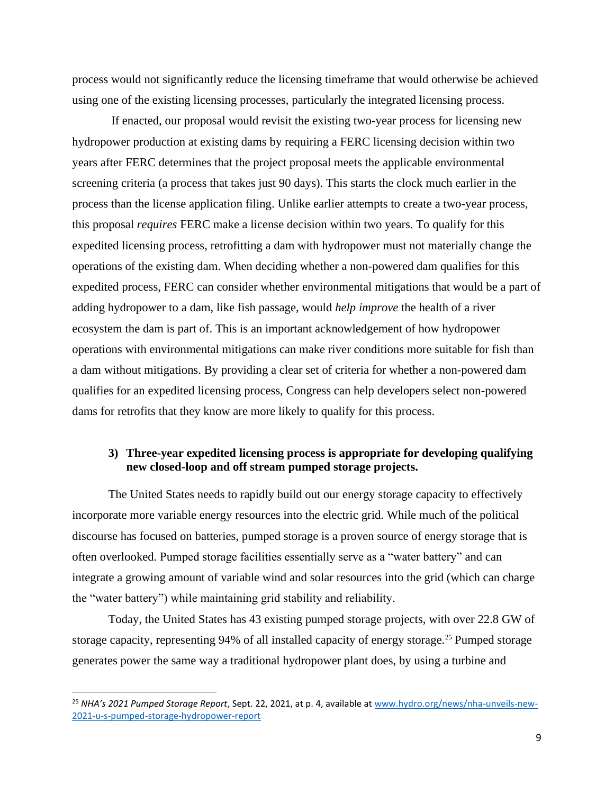process would not significantly reduce the licensing timeframe that would otherwise be achieved using one of the existing licensing processes, particularly the integrated licensing process.

If enacted, our proposal would revisit the existing two-year process for licensing new hydropower production at existing dams by requiring a FERC licensing decision within two years after FERC determines that the project proposal meets the applicable environmental screening criteria (a process that takes just 90 days). This starts the clock much earlier in the process than the license application filing. Unlike earlier attempts to create a two-year process, this proposal *requires* FERC make a license decision within two years. To qualify for this expedited licensing process, retrofitting a dam with hydropower must not materially change the operations of the existing dam. When deciding whether a non-powered dam qualifies for this expedited process, FERC can consider whether environmental mitigations that would be a part of adding hydropower to a dam, like fish passage, would *help improve* the health of a river ecosystem the dam is part of. This is an important acknowledgement of how hydropower operations with environmental mitigations can make river conditions more suitable for fish than a dam without mitigations. By providing a clear set of criteria for whether a non-powered dam qualifies for an expedited licensing process, Congress can help developers select non-powered dams for retrofits that they know are more likely to qualify for this process.

#### **3) Three-year expedited licensing process is appropriate for developing qualifying new closed-loop and off stream pumped storage projects.**

The United States needs to rapidly build out our energy storage capacity to effectively incorporate more variable energy resources into the electric grid. While much of the political discourse has focused on batteries, pumped storage is a proven source of energy storage that is often overlooked. Pumped storage facilities essentially serve as a "water battery" and can integrate a growing amount of variable wind and solar resources into the grid (which can charge the "water battery") while maintaining grid stability and reliability.

Today, the United States has 43 existing pumped storage projects, with over 22.8 GW of storage capacity, representing 94% of all installed capacity of energy storage.<sup>25</sup> Pumped storage generates power the same way a traditional hydropower plant does, by using a turbine and

<sup>25</sup> *NHA's 2021 Pumped Storage Report*, Sept. 22, 2021, at p. 4, available a[t www.hydro.org/news/nha-unveils-new-](http://www.hydro.org/news/nha-unveils-new-2021-u-s-pumped-storage-hydropower-report)[2021-u-s-pumped-storage-hydropower-report](http://www.hydro.org/news/nha-unveils-new-2021-u-s-pumped-storage-hydropower-report)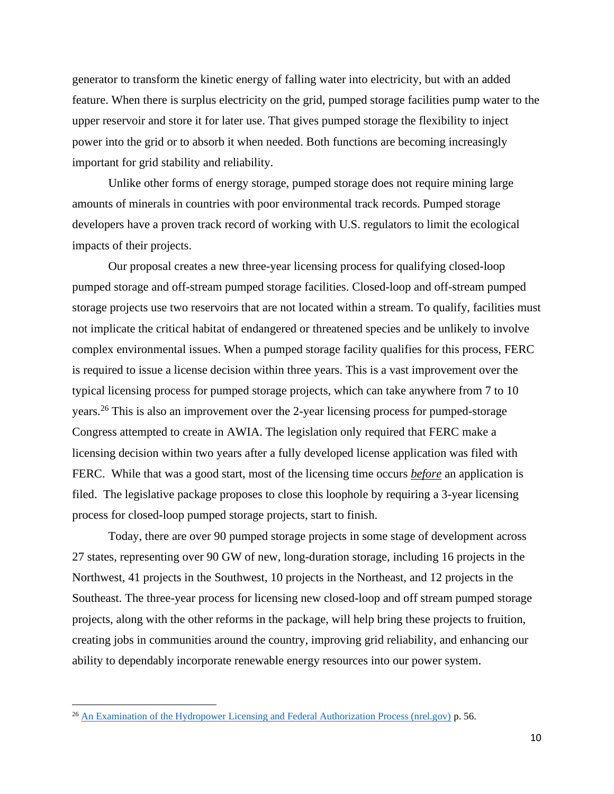generator to transform the kinetic energy of falling water into electricity, but with an added feature. When there is surplus electricity on the grid, pumped storage facilities pump water to the upper reservoir and store it for later use. That gives pumped storage the flexibility to inject power into the grid or to absorb it when needed. Both functions are becoming increasingly important for grid stability and reliability.

Unlike other forms of energy storage, pumped storage does not require mining large amounts of minerals in countries with poor environmental track records. Pumped storage developers have a proven track record of working with U.S. regulators to limit the ecological impacts of their projects.

Our proposal creates a new three-year licensing process for qualifying closed-loop pumped storage and off-stream pumped storage facilities. Closed-loop and off-stream pumped storage projects use two reservoirs that are not located within a stream. To qualify, facilities must not implicate the critical habitat of endangered or threatened species and be unlikely to involve complex environmental issues. When a pumped storage facility qualifies for this process, FERC is required to issue a license decision within three years. This is a vast improvement over the typical licensing process for pumped storage projects, which can take anywhere from 7 to 10 years.<sup>26</sup> This is also an improvement over the 2-year licensing process for pumped-storage Congress attempted to create in AWIA. The legislation only required that FERC make a licensing decision within two years after a fully developed license application was filed with FERC. While that was a good start, most of the licensing time occurs *before* an application is filed. The legislative package proposes to close this loophole by requiring a 3-year licensing process for closed-loop pumped storage projects, start to finish.

Today, there are over 90 pumped storage projects in some stage of development across 27 states, representing over 90 GW of new, long-duration storage, including 16 projects in the Northwest, 41 projects in the Southwest, 10 projects in the Northeast, and 12 projects in the Southeast. The three-year process for licensing new closed-loop and off stream pumped storage projects, along with the other reforms in the package, will help bring these projects to fruition, creating jobs in communities around the country, improving grid reliability, and enhancing our ability to dependably incorporate renewable energy resources into our power system.

<sup>&</sup>lt;sup>26</sup> [An Examination of the Hydropower Licensing and Federal Authorization Process \(nrel.gov\)](https://www.nrel.gov/docs/fy22osti/79242.pdf)  $p. 56$ .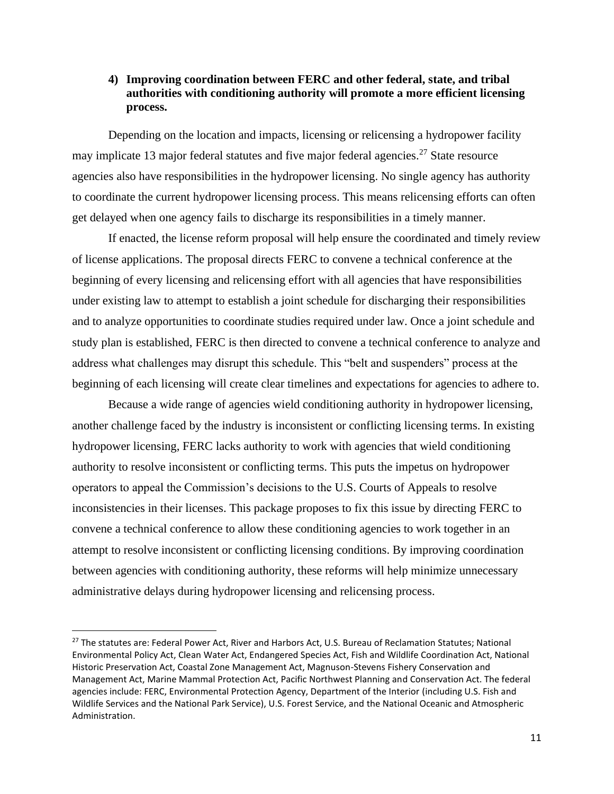## **4) Improving coordination between FERC and other federal, state, and tribal authorities with conditioning authority will promote a more efficient licensing process.**

Depending on the location and impacts, licensing or relicensing a hydropower facility may implicate 13 major federal statutes and five major federal agencies.<sup>27</sup> State resource agencies also have responsibilities in the hydropower licensing. No single agency has authority to coordinate the current hydropower licensing process. This means relicensing efforts can often get delayed when one agency fails to discharge its responsibilities in a timely manner.

If enacted, the license reform proposal will help ensure the coordinated and timely review of license applications. The proposal directs FERC to convene a technical conference at the beginning of every licensing and relicensing effort with all agencies that have responsibilities under existing law to attempt to establish a joint schedule for discharging their responsibilities and to analyze opportunities to coordinate studies required under law. Once a joint schedule and study plan is established, FERC is then directed to convene a technical conference to analyze and address what challenges may disrupt this schedule. This "belt and suspenders" process at the beginning of each licensing will create clear timelines and expectations for agencies to adhere to.

Because a wide range of agencies wield conditioning authority in hydropower licensing, another challenge faced by the industry is inconsistent or conflicting licensing terms. In existing hydropower licensing, FERC lacks authority to work with agencies that wield conditioning authority to resolve inconsistent or conflicting terms. This puts the impetus on hydropower operators to appeal the Commission's decisions to the U.S. Courts of Appeals to resolve inconsistencies in their licenses. This package proposes to fix this issue by directing FERC to convene a technical conference to allow these conditioning agencies to work together in an attempt to resolve inconsistent or conflicting licensing conditions. By improving coordination between agencies with conditioning authority, these reforms will help minimize unnecessary administrative delays during hydropower licensing and relicensing process.

<sup>&</sup>lt;sup>27</sup> The statutes are: Federal Power Act, River and Harbors Act, U.S. Bureau of Reclamation Statutes; National Environmental Policy Act, Clean Water Act, Endangered Species Act, Fish and Wildlife Coordination Act, National Historic Preservation Act, Coastal Zone Management Act, Magnuson-Stevens Fishery Conservation and Management Act, Marine Mammal Protection Act, Pacific Northwest Planning and Conservation Act. The federal agencies include: FERC, Environmental Protection Agency, Department of the Interior (including U.S. Fish and Wildlife Services and the National Park Service), U.S. Forest Service, and the National Oceanic and Atmospheric Administration.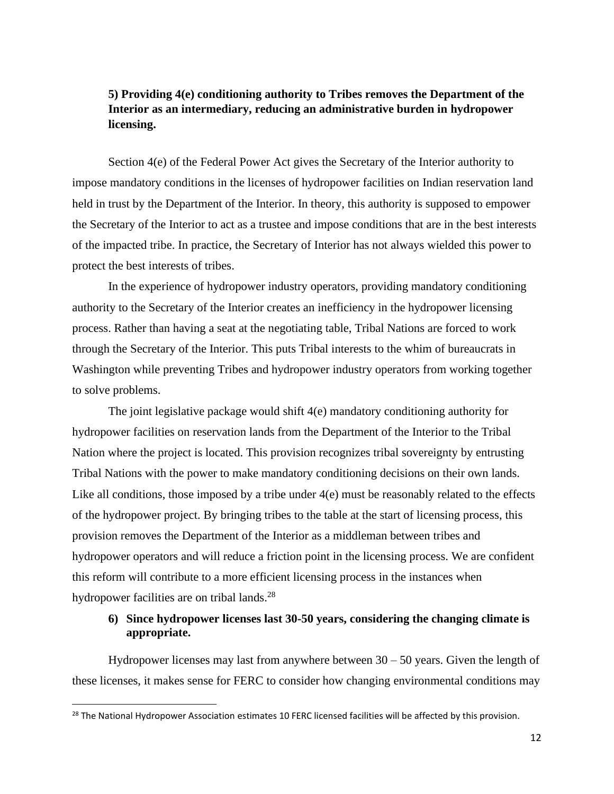## **5) Providing 4(e) conditioning authority to Tribes removes the Department of the Interior as an intermediary, reducing an administrative burden in hydropower licensing.**

Section 4(e) of the Federal Power Act gives the Secretary of the Interior authority to impose mandatory conditions in the licenses of hydropower facilities on Indian reservation land held in trust by the Department of the Interior. In theory, this authority is supposed to empower the Secretary of the Interior to act as a trustee and impose conditions that are in the best interests of the impacted tribe. In practice, the Secretary of Interior has not always wielded this power to protect the best interests of tribes.

In the experience of hydropower industry operators, providing mandatory conditioning authority to the Secretary of the Interior creates an inefficiency in the hydropower licensing process. Rather than having a seat at the negotiating table, Tribal Nations are forced to work through the Secretary of the Interior. This puts Tribal interests to the whim of bureaucrats in Washington while preventing Tribes and hydropower industry operators from working together to solve problems.

The joint legislative package would shift 4(e) mandatory conditioning authority for hydropower facilities on reservation lands from the Department of the Interior to the Tribal Nation where the project is located. This provision recognizes tribal sovereignty by entrusting Tribal Nations with the power to make mandatory conditioning decisions on their own lands. Like all conditions, those imposed by a tribe under  $4(e)$  must be reasonably related to the effects of the hydropower project. By bringing tribes to the table at the start of licensing process, this provision removes the Department of the Interior as a middleman between tribes and hydropower operators and will reduce a friction point in the licensing process. We are confident this reform will contribute to a more efficient licensing process in the instances when hydropower facilities are on tribal lands.<sup>28</sup>

## **6) Since hydropower licenses last 30-50 years, considering the changing climate is appropriate.**

Hydropower licenses may last from anywhere between  $30 - 50$  years. Given the length of these licenses, it makes sense for FERC to consider how changing environmental conditions may

<sup>&</sup>lt;sup>28</sup> The National Hydropower Association estimates 10 FERC licensed facilities will be affected by this provision.